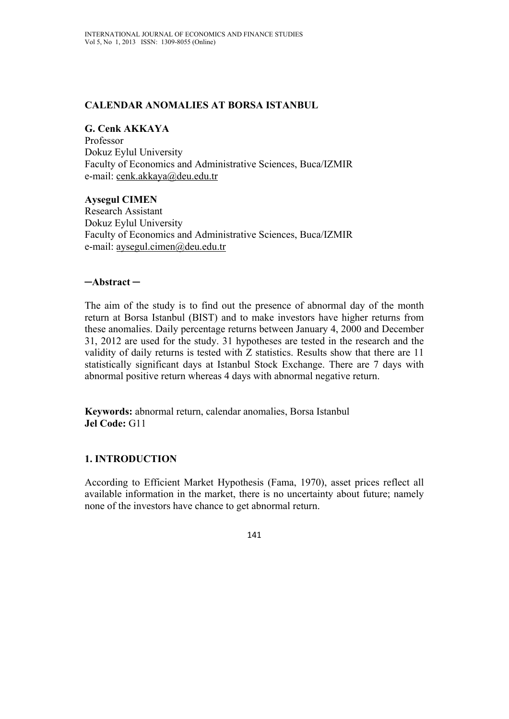### **CALENDAR ANOMALIES AT BORSA ISTANBUL**

# **G. Cenk AKKAYA**

Professor Dokuz Eylul University Faculty of Economics and Administrative Sciences, Buca/IZMIR e-mail: cenk.akkaya@deu.edu.tr

**Aysegul CIMEN**  Research Assistant Dokuz Eylul University Faculty of Economics and Administrative Sciences, Buca/IZMIR e-mail: aysegul.cimen@deu.edu.tr

### **─Abstract ─**

The aim of the study is to find out the presence of abnormal day of the month return at Borsa Istanbul (BIST) and to make investors have higher returns from these anomalies. Daily percentage returns between January 4, 2000 and December 31, 2012 are used for the study. 31 hypotheses are tested in the research and the validity of daily returns is tested with Z statistics. Results show that there are 11 statistically significant days at Istanbul Stock Exchange. There are 7 days with abnormal positive return whereas 4 days with abnormal negative return.

**Keywords:** abnormal return, calendar anomalies, Borsa Istanbul **Jel Code:** G11

# **1. INTRODUCTION**

According to Efficient Market Hypothesis (Fama, 1970), asset prices reflect all available information in the market, there is no uncertainty about future; namely none of the investors have chance to get abnormal return.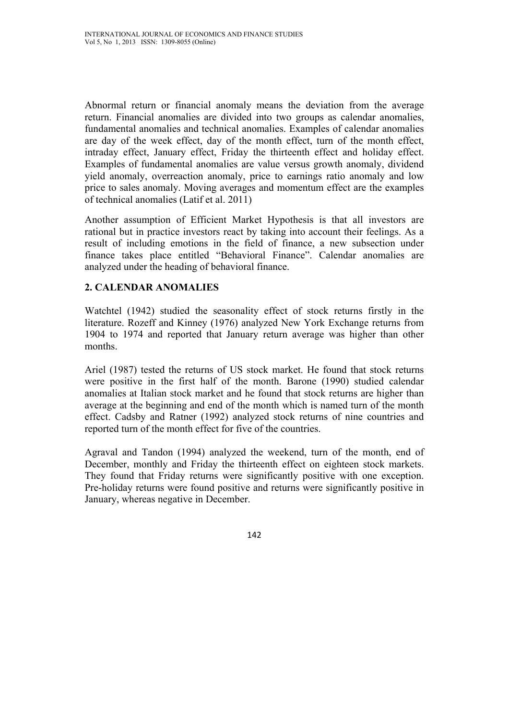Abnormal return or financial anomaly means the deviation from the average return. Financial anomalies are divided into two groups as calendar anomalies, fundamental anomalies and technical anomalies. Examples of calendar anomalies are day of the week effect, day of the month effect, turn of the month effect, intraday effect, January effect, Friday the thirteenth effect and holiday effect. Examples of fundamental anomalies are value versus growth anomaly, dividend yield anomaly, overreaction anomaly, price to earnings ratio anomaly and low price to sales anomaly. Moving averages and momentum effect are the examples of technical anomalies (Latif et al. 2011)

Another assumption of Efficient Market Hypothesis is that all investors are rational but in practice investors react by taking into account their feelings. As a result of including emotions in the field of finance, a new subsection under finance takes place entitled "Behavioral Finance". Calendar anomalies are analyzed under the heading of behavioral finance.

# **2. CALENDAR ANOMALIES**

Watchtel (1942) studied the seasonality effect of stock returns firstly in the literature. Rozeff and Kinney (1976) analyzed New York Exchange returns from 1904 to 1974 and reported that January return average was higher than other months.

Ariel (1987) tested the returns of US stock market. He found that stock returns were positive in the first half of the month. Barone (1990) studied calendar anomalies at Italian stock market and he found that stock returns are higher than average at the beginning and end of the month which is named turn of the month effect. Cadsby and Ratner (1992) analyzed stock returns of nine countries and reported turn of the month effect for five of the countries.

Agraval and Tandon (1994) analyzed the weekend, turn of the month, end of December, monthly and Friday the thirteenth effect on eighteen stock markets. They found that Friday returns were significantly positive with one exception. Pre-holiday returns were found positive and returns were significantly positive in January, whereas negative in December.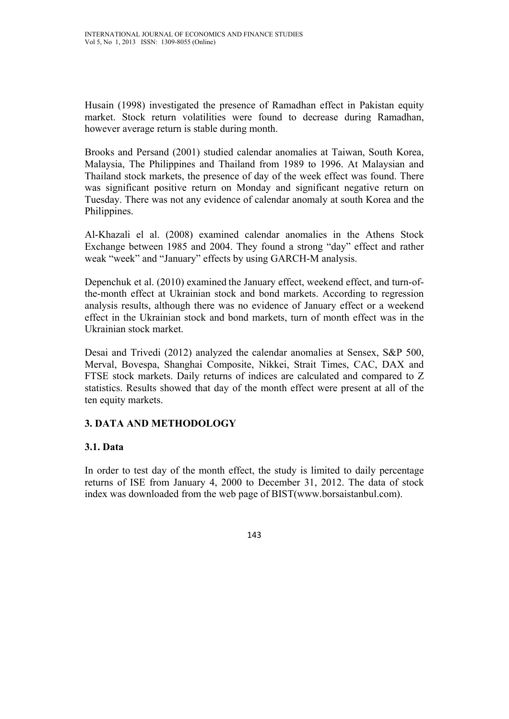Husain (1998) investigated the presence of Ramadhan effect in Pakistan equity market. Stock return volatilities were found to decrease during Ramadhan, however average return is stable during month.

Brooks and Persand (2001) studied calendar anomalies at Taiwan, South Korea, Malaysia, The Philippines and Thailand from 1989 to 1996. At Malaysian and Thailand stock markets, the presence of day of the week effect was found. There was significant positive return on Monday and significant negative return on Tuesday. There was not any evidence of calendar anomaly at south Korea and the Philippines.

Al-Khazali el al. (2008) examined calendar anomalies in the Athens Stock Exchange between 1985 and 2004. They found a strong "day" effect and rather weak "week" and "January" effects by using GARCH-M analysis.

Depenchuk et al. (2010) examined the January effect, weekend effect, and turn-ofthe-month effect at Ukrainian stock and bond markets. According to regression analysis results, although there was no evidence of January effect or a weekend effect in the Ukrainian stock and bond markets, turn of month effect was in the Ukrainian stock market.

Desai and Trivedi (2012) analyzed the calendar anomalies at Sensex, S&P 500, Merval, Bovespa, Shanghai Composite, Nikkei, Strait Times, CAC, DAX and FTSE stock markets. Daily returns of indices are calculated and compared to Z statistics. Results showed that day of the month effect were present at all of the ten equity markets.

# **3. DATA AND METHODOLOGY**

### **3.1. Data**

In order to test day of the month effect, the study is limited to daily percentage returns of ISE from January 4, 2000 to December 31, 2012. The data of stock index was downloaded from the web page of BIST(www.borsaistanbul.com).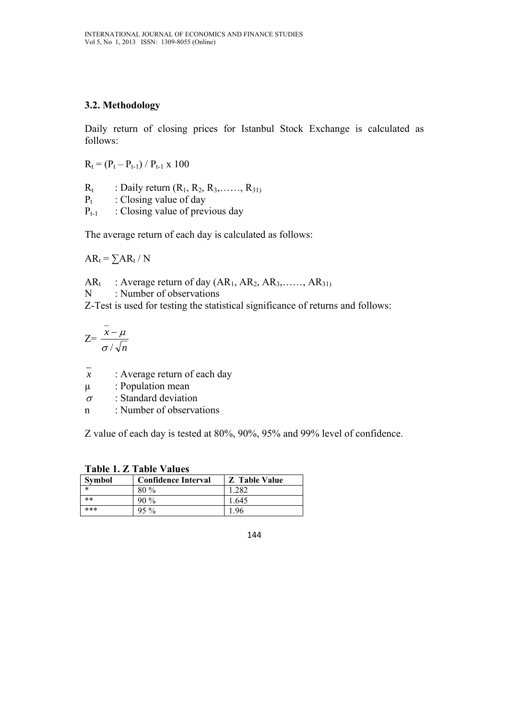### **3.2. Methodology**

Daily return of closing prices for Istanbul Stock Exchange is calculated as follows:

 $R_t = (P_t - P_{t-1}) / P_{t-1} \times 100$ 

 $R_t$  : Daily return  $(R_1, R_2, R_3, \ldots, R_{31})$  $P_t$  : Closing value of day

 $P_{t-1}$  : Closing value of previous day

The average return of each day is calculated as follows:

 $AR_t = \sum AR_t / N$ 

 $AR_t$  : Average return of day  $(AR_1, AR_2, AR_3, \ldots, AR_{31})$ 

N : Number of observations

Z-Test is used for testing the statistical significance of returns and follows:

$$
Z = \frac{\bar{x} - \mu}{\sigma / \sqrt{n}}
$$

- *x* : Average return of each day
- µ : Population mean
- $\sigma$  : Standard deviation
- n : Number of observations

Z value of each day is tested at 80%, 90%, 95% and 99% level of confidence.

| $1$ avie 1. $L$ 1 avie v alues |                            |                      |  |  |
|--------------------------------|----------------------------|----------------------|--|--|
| Symbol                         | <b>Confidence Interval</b> | <b>Z</b> Table Value |  |  |
| $\ast$                         | $80\%$                     | 1.282                |  |  |
| $***$                          | $90\%$                     | 1.645                |  |  |
| ***                            | $95\%$                     | 196                  |  |  |

**Table 1. Z Table Values** 

<sup>144</sup>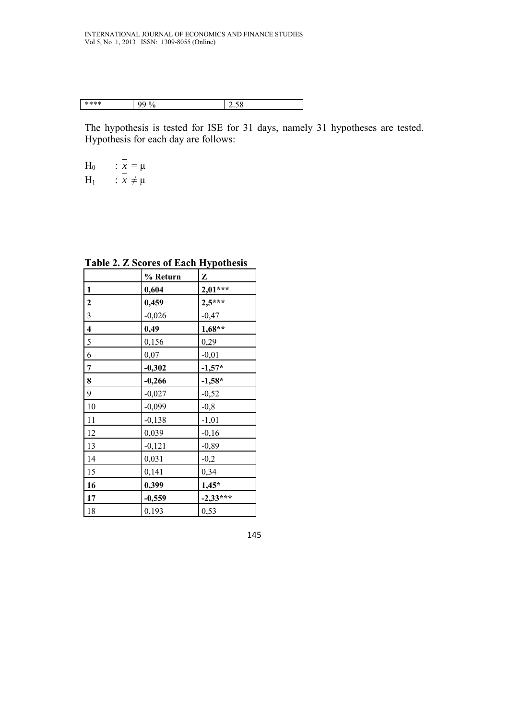| **** | $\Omega$ | $\sim$ $\sim$ |
|------|----------|---------------|
| -14  | u        | 2.50          |
|      |          |               |

The hypothesis is tested for ISE for 31 days, namely 31 hypotheses are tested. Hypothesis for each day are follows:

H<sub>0</sub> 
$$
\qquad
$$
  $\therefore$   $\frac{x}{x} = \mu$   
H<sub>1</sub>  $\qquad$   $\therefore$   $\frac{x}{x} \neq \mu$ 

**Table 2. Z Scores of Each Hypothesis** 

|                         | % Return | Z          |
|-------------------------|----------|------------|
| $\mathbf{1}$            | 0,604    | $2,01***$  |
| $\overline{2}$          | 0,459    | $2,5***$   |
| $\overline{\mathbf{3}}$ | $-0,026$ | $-0,47$    |
| $\overline{\mathbf{4}}$ | 0,49     | $1,68**$   |
| 5                       | 0,156    | 0,29       |
| 6                       | 0,07     | $-0,01$    |
| 7                       | $-0,302$ | $-1,57*$   |
| 8                       | $-0,266$ | $-1,58*$   |
| 9                       | $-0,027$ | $-0,52$    |
| 10                      | $-0,099$ | $-0,8$     |
| 11                      | $-0,138$ | $-1,01$    |
| 12                      | 0,039    | $-0,16$    |
| 13                      | $-0,121$ | $-0,89$    |
| 14                      | 0,031    | $-0,2$     |
| 15                      | 0,141    | 0,34       |
| 16                      | 0,399    | $1,45*$    |
| 17                      | $-0,559$ | $-2,33***$ |
| 18                      | 0,193    | 0,53       |

145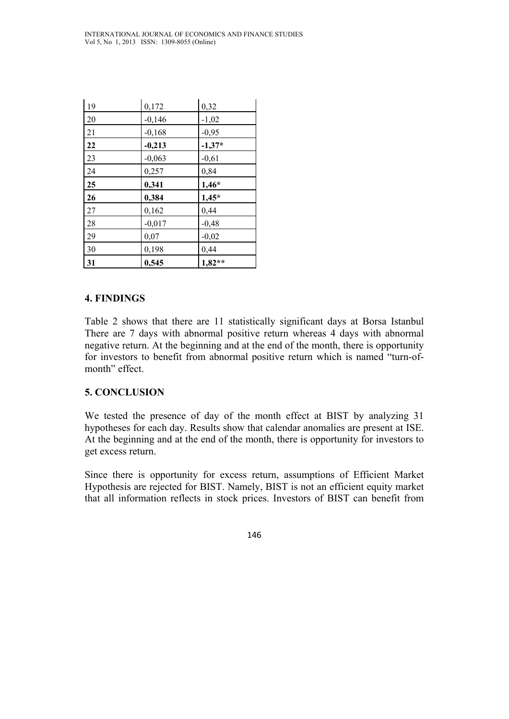| 19 | 0,172    | 0,32     |
|----|----------|----------|
| 20 | $-0,146$ | $-1,02$  |
| 21 | $-0,168$ | $-0,95$  |
| 22 | $-0,213$ | $-1,37*$ |
| 23 | $-0,063$ | $-0,61$  |
| 24 | 0,257    | 0,84     |
| 25 | 0,341    | $1,46*$  |
| 26 | 0,384    | $1,45*$  |
| 27 | 0,162    | 0,44     |
| 28 | $-0,017$ | $-0,48$  |
| 29 | 0,07     | $-0,02$  |
| 30 | 0,198    | 0,44     |
| 31 | 0,545    | $1,82**$ |

## **4. FINDINGS**

Table 2 shows that there are 11 statistically significant days at Borsa Istanbul There are 7 days with abnormal positive return whereas 4 days with abnormal negative return. At the beginning and at the end of the month, there is opportunity for investors to benefit from abnormal positive return which is named "turn-ofmonth" effect.

# **5. CONCLUSION**

We tested the presence of day of the month effect at BIST by analyzing 31 hypotheses for each day. Results show that calendar anomalies are present at ISE. At the beginning and at the end of the month, there is opportunity for investors to get excess return.

Since there is opportunity for excess return, assumptions of Efficient Market Hypothesis are rejected for BIST. Namely, BIST is not an efficient equity market that all information reflects in stock prices. Investors of BIST can benefit from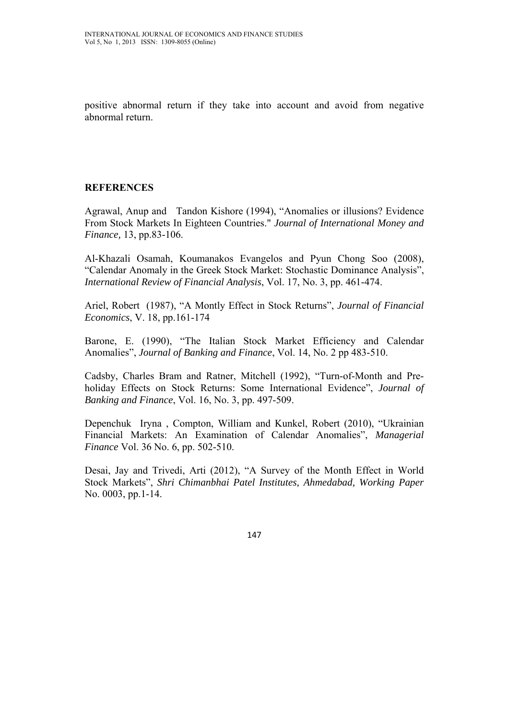positive abnormal return if they take into account and avoid from negative abnormal return.

## **REFERENCES**

Agrawal, Anup and Tandon Kishore (1994), "Anomalies or illusions? Evidence From Stock Markets In Eighteen Countries." *Journal of International Money and Finance,* 13, pp.83-106.

Al-Khazali Osamah, Koumanakos Evangelos and Pyun Chong Soo (2008), "Calendar Anomaly in the Greek Stock Market: Stochastic Dominance Analysis", *International Review of Financial Analysis*, Vol. 17, No. 3, pp. 461-474.

Ariel, Robert (1987), "A Montly Effect in Stock Returns", *Journal of Financial Economics*, V. 18, pp.161-174

Barone, E. (1990), "The Italian Stock Market Efficiency and Calendar Anomalies", *Journal of Banking and Finance*, Vol. 14, No. 2 pp 483-510.

Cadsby, Charles Bram and Ratner, Mitchell (1992), "Turn-of-Month and Preholiday Effects on Stock Returns: Some International Evidence", *Journal of Banking and Finance*, Vol. 16, No. 3, pp. 497-509.

Depenchuk Iryna , Compton, William and Kunkel, Robert (2010), "Ukrainian Financial Markets: An Examination of Calendar Anomalies", *Managerial Finance* Vol. 36 No. 6, pp. 502-510.

Desai, Jay and Trivedi, Arti (2012), "A Survey of the Month Effect in World Stock Markets", *Shri Chimanbhai Patel Institutes, Ahmedabad, Working Paper* No. 0003, pp.1-14.